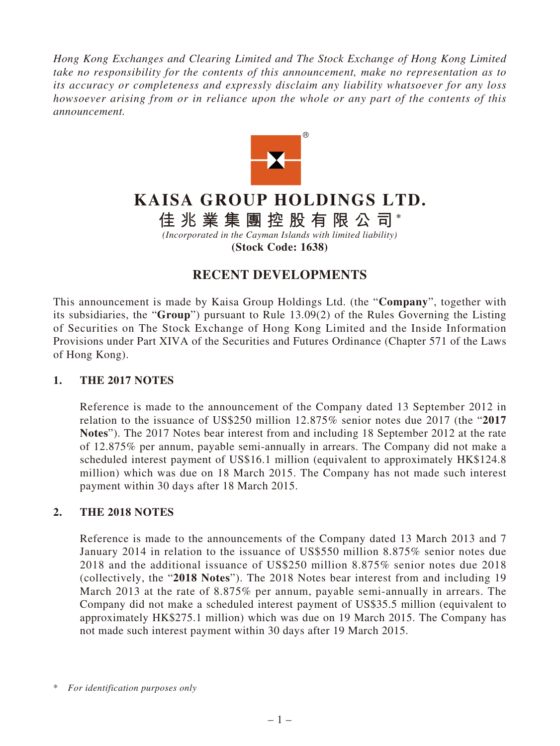*Hong Kong Exchanges and Clearing Limited and The Stock Exchange of Hong Kong Limited take no responsibility for the contents of this announcement, make no representation as to its accuracy or completeness and expressly disclaim any liability whatsoever for any loss howsoever arising from or in reliance upon the whole or any part of the contents of this announcement.*



# **KAISA GROUP HOLDINGS LTD.**

**佳兆業集團控股有限公司 \***

*(Incorporated in the Cayman Islands with limited liability)*

**(Stock Code: 1638)**

## **RECENT DEVELOPMENTS**

This announcement is made by Kaisa Group Holdings Ltd. (the "**Company**", together with its subsidiaries, the "**Group**") pursuant to Rule 13.09(2) of the Rules Governing the Listing of Securities on The Stock Exchange of Hong Kong Limited and the Inside Information Provisions under Part XIVA of the Securities and Futures Ordinance (Chapter 571 of the Laws of Hong Kong).

### **1. THE 2017 NOTES**

Reference is made to the announcement of the Company dated 13 September 2012 in relation to the issuance of US\$250 million 12.875% senior notes due 2017 (the "**2017 Notes**"). The 2017 Notes bear interest from and including 18 September 2012 at the rate of 12.875% per annum, payable semi-annually in arrears. The Company did not make a scheduled interest payment of US\$16.1 million (equivalent to approximately HK\$124.8 million) which was due on 18 March 2015. The Company has not made such interest payment within 30 days after 18 March 2015.

### **2. THE 2018 NOTES**

Reference is made to the announcements of the Company dated 13 March 2013 and 7 January 2014 in relation to the issuance of US\$550 million 8.875% senior notes due 2018 and the additional issuance of US\$250 million 8.875% senior notes due 2018 (collectively, the "**2018 Notes**"). The 2018 Notes bear interest from and including 19 March 2013 at the rate of 8.875% per annum, payable semi-annually in arrears. The Company did not make a scheduled interest payment of US\$35.5 million (equivalent to approximately HK\$275.1 million) which was due on 19 March 2015. The Company has not made such interest payment within 30 days after 19 March 2015.

<sup>\*</sup> *For identification purposes only*